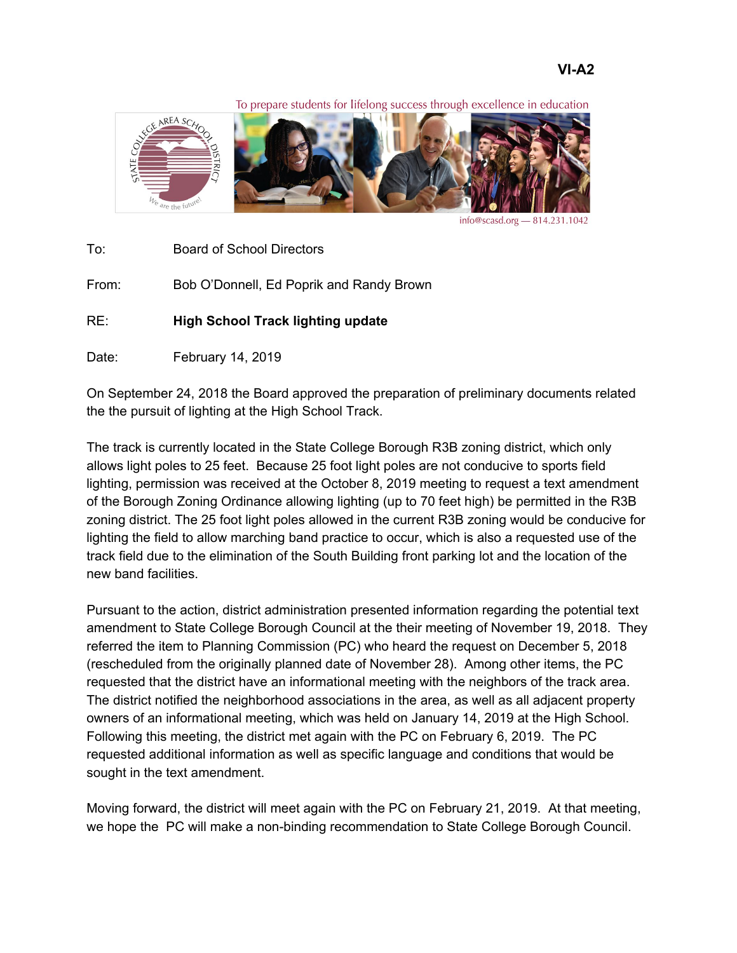To prepare students for lifelong success through excellence in education



info@scasd.org - 814.231.1042

To: Board of School Directors

From: Bob O'Donnell, Ed Poprik and Randy Brown

RE: **High School Track lighting update**

Date: February 14, 2019

On September 24, 2018 the Board approved the preparation of preliminary documents related the the pursuit of lighting at the High School Track.

The track is currently located in the State College Borough R3B zoning district, which only allows light poles to 25 feet. Because 25 foot light poles are not conducive to sports field lighting, permission was received at the October 8, 2019 meeting to request a text amendment of the Borough Zoning Ordinance allowing lighting (up to 70 feet high) be permitted in the R3B zoning district. The 25 foot light poles allowed in the current R3B zoning would be conducive for lighting the field to allow marching band practice to occur, which is also a requested use of the track field due to the elimination of the South Building front parking lot and the location of the new band facilities.

Pursuant to the action, district administration presented information regarding the potential text amendment to State College Borough Council at the their meeting of November 19, 2018. They referred the item to Planning Commission (PC) who heard the request on December 5, 2018 (rescheduled from the originally planned date of November 28). Among other items, the PC requested that the district have an informational meeting with the neighbors of the track area. The district notified the neighborhood associations in the area, as well as all adjacent property owners of an informational meeting, which was held on January 14, 2019 at the High School. Following this meeting, the district met again with the PC on February 6, 2019. The PC requested additional information as well as specific language and conditions that would be sought in the text amendment.

Moving forward, the district will meet again with the PC on February 21, 2019. At that meeting, we hope the PC will make a non-binding recommendation to State College Borough Council.